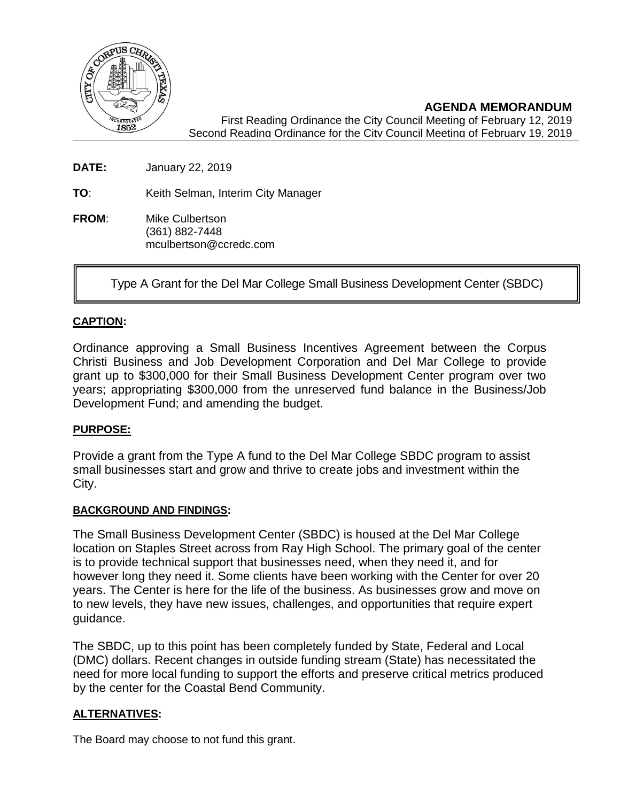

**AGENDA MEMORANDUM** First Reading Ordinance the City Council Meeting of February 12, 2019 Second Reading Ordinance for the City Council Meeting of February 19, 2019

**DATE:** January 22, 2019

**TO**: Keith Selman, Interim City Manager

**FROM**: Mike Culbertson (361) 882-7448 mculbertson@ccredc.com

Type A Grant for the Del Mar College Small Business Development Center (SBDC)

# **CAPTION:**

Ordinance approving a Small Business Incentives Agreement between the Corpus Christi Business and Job Development Corporation and Del Mar College to provide grant up to \$300,000 for their Small Business Development Center program over two years; appropriating \$300,000 from the unreserved fund balance in the Business/Job Development Fund; and amending the budget.

## **PURPOSE:**

Provide a grant from the Type A fund to the Del Mar College SBDC program to assist small businesses start and grow and thrive to create jobs and investment within the City.

### **BACKGROUND AND FINDINGS:**

The Small Business Development Center (SBDC) is housed at the Del Mar College location on Staples Street across from Ray High School. The primary goal of the center is to provide technical support that businesses need, when they need it, and for however long they need it. Some clients have been working with the Center for over 20 years. The Center is here for the life of the business. As businesses grow and move on to new levels, they have new issues, challenges, and opportunities that require expert guidance.

The SBDC, up to this point has been completely funded by State, Federal and Local (DMC) dollars. Recent changes in outside funding stream (State) has necessitated the need for more local funding to support the efforts and preserve critical metrics produced by the center for the Coastal Bend Community.

## **ALTERNATIVES:**

The Board may choose to not fund this grant.